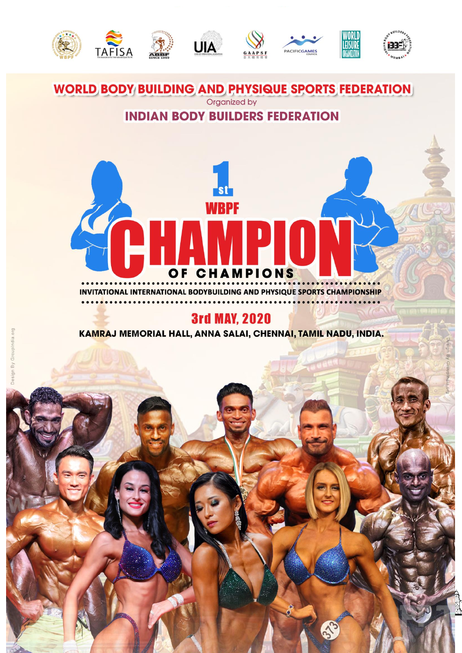

**WORLD BODY BUILDING AND PHYSIQUE SPORTS FEDERATION** Organized by

# **INDIAN BODY BUILDERS FEDERATION**



INVITATIONAL INTERNATIONAL BODYBUILDING AND PHYSIQUE SPORTS CHAMPIONSHIP

## **3rd MAY, 2020**

KAMRAJ MEMORIAL HALL, ANNA SALAI, CHENNAI, TAMIL NADU, INDIA.

280/A, Javalkar Mansion, Dr.B.Ambedkar Road, Parel, Mumbai- 400 012. Maharashtra. India. Tel :  $\mathbf{A}$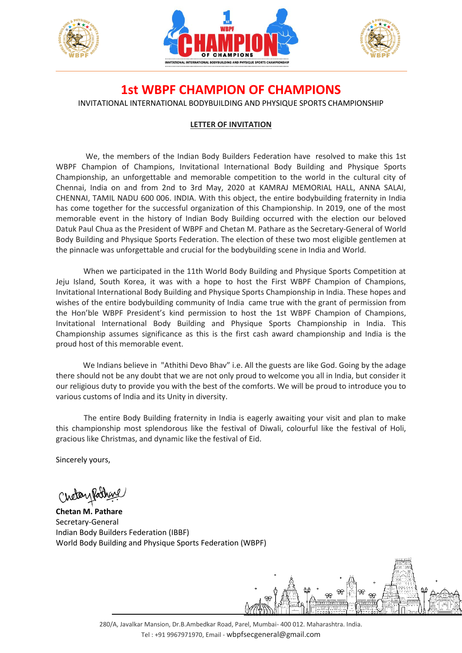





**1st WBPF CHAMPION OF CHAMPIONS**

INVITATIONAL INTERNATIONAL BODYBUILDING AND PHYSIQUE SPORTS CHAMPIONSHIP

## **LETTER OF INVITATION**

We, the members of the Indian Body Builders Federation have resolved to make this 1st WBPF Champion of Champions, Invitational International Body Building and Physique Sports Championship, an unforgettable and memorable competition to the world in the cultural city of Chennai, India on and from 2nd to 3rd May, 2020 at KAMRAJ MEMORIAL HALL, ANNA SALAI, CHENNAI, TAMIL NADU 600 006. INDIA. With this object, the entire bodybuilding fraternity in India has come together for the successful organization of this Championship. In 2019, one of the most memorable event in the history of Indian Body Building occurred with the election our beloved Datuk Paul Chua as the President of WBPF and Chetan M. Pathare as the Secretary-General of World Body Building and Physique Sports Federation. The election of these two most eligible gentlemen at the pinnacle was unforgettable and crucial for the bodybuilding scene in India and World.

 When we participated in the 11th World Body Building and Physique Sports Competition at Jeju Island, South Korea, it was with a hope to host the First WBPF Champion of Champions, Invitational International Body Building and Physique Sports Championship in India. These hopes and wishes of the entire bodybuilding community of India came true with the grant of permission from the Hon'ble WBPF President's kind permission to host the 1st WBPF Champion of Champions, Invitational International Body Building and Physique Sports Championship in India. This Championship assumes significance as this is the first cash award championship and India is the proud host of this memorable event.

We Indians believe in "Athithi Devo Bhav" i.e. All the guests are like God. Going by the adage there should not be any doubt that we are not only proud to welcome you all in India, but consider it our religious duty to provide you with the best of the comforts. We will be proud to introduce you to various customs of India and its Unity in diversity.

 The entire Body Building fraternity in India is eagerly awaiting your visit and plan to make this championship most splendorous like the festival of Diwali, colourful like the festival of Holi, gracious like Christmas, and dynamic like the festival of Eid.

Sincerely yours,

Cheterylat

**Chetan M. Pathare**  Secretary-General Indian Body Builders Federation (IBBF) World Body Building and Physique Sports Federation (WBPF)

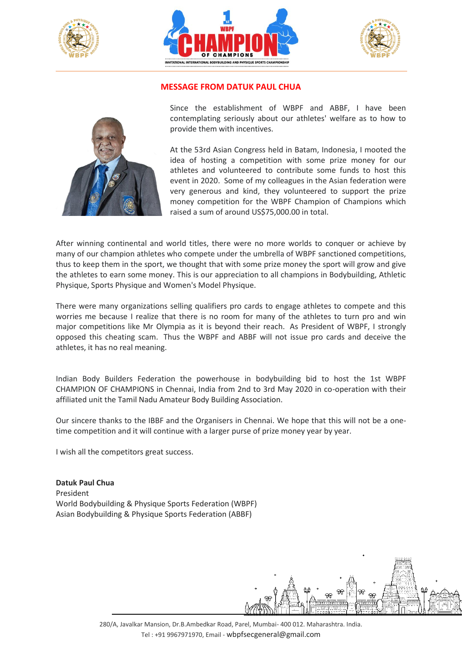





## **MESSAGE FROM DATUK PAUL CHUA**



Since the establishment of WBPF and ABBF, I have been contemplating seriously about our athletes' welfare as to how to provide them with incentives.

At the 53rd Asian Congress held in Batam, Indonesia, I mooted the idea of hosting a competition with some prize money for our athletes and volunteered to contribute some funds to host this event in 2020. Some of my colleagues in the Asian federation were very generous and kind, they volunteered to support the prize money competition for the WBPF Champion of Champions which raised a sum of around US\$75,000.00 in total.

After winning continental and world titles, there were no more worlds to conquer or achieve by many of our champion athletes who compete under the umbrella of WBPF sanctioned competitions, thus to keep them in the sport, we thought that with some prize money the sport will grow and give the athletes to earn some money. This is our appreciation to all champions in Bodybuilding, Athletic Physique, Sports Physique and Women's Model Physique.

There were many organizations selling qualifiers pro cards to engage athletes to compete and this worries me because I realize that there is no room for many of the athletes to turn pro and win major competitions like Mr Olympia as it is beyond their reach. As President of WBPF, I strongly opposed this cheating scam. Thus the WBPF and ABBF will not issue pro cards and deceive the athletes, it has no real meaning.

Indian Body Builders Federation the powerhouse in bodybuilding bid to host the 1st WBPF CHAMPION OF CHAMPIONS in Chennai, India from 2nd to 3rd May 2020 in co-operation with their affiliated unit the Tamil Nadu Amateur Body Building Association.

Our sincere thanks to the IBBF and the Organisers in Chennai. We hope that this will not be a onetime competition and it will continue with a larger purse of prize money year by year.

I wish all the competitors great success.

**Datuk Paul Chua** President World Bodybuilding & Physique Sports Federation (WBPF) Asian Bodybuilding & Physique Sports Federation (ABBF)

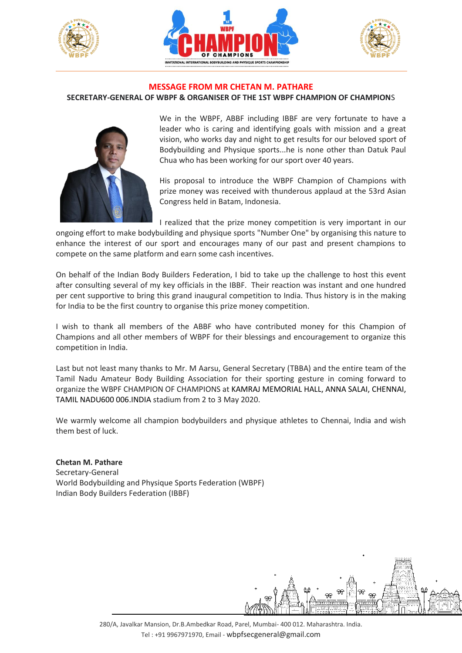





#### **MESSAGE FROM MR CHETAN M. PATHARE**

#### **SECRETARY-GENERAL OF WBPF & ORGANISER OF THE 1ST WBPF CHAMPION OF CHAMPION**S



We in the WBPF, ABBF including IBBF are very fortunate to have a leader who is caring and identifying goals with mission and a great vision, who works day and night to get results for our beloved sport of Bodybuilding and Physique sports...he is none other than Datuk Paul Chua who has been working for our sport over 40 years.

His proposal to introduce the WBPF Champion of Champions with prize money was received with thunderous applaud at the 53rd Asian Congress held in Batam, Indonesia.

I realized that the prize money competition is very important in our ongoing effort to make bodybuilding and physique sports "Number One" by organising this nature to enhance the interest of our sport and encourages many of our past and present champions to compete on the same platform and earn some cash incentives.

On behalf of the Indian Body Builders Federation, I bid to take up the challenge to host this event after consulting several of my key officials in the IBBF. Their reaction was instant and one hundred per cent supportive to bring this grand inaugural competition to India. Thus history is in the making for India to be the first country to organise this prize money competition.

I wish to thank all members of the ABBF who have contributed money for this Champion of Champions and all other members of WBPF for their blessings and encouragement to organize this competition in India.

Last but not least many thanks to Mr. M Aarsu, General Secretary (TBBA) and the entire team of the Tamil Nadu Amateur Body Building Association for their sporting gesture in coming forward to organize the WBPF CHAMPION OF CHAMPIONS at KAMRAJ MEMORIAL HALL, ANNA SALAI, CHENNAI, TAMIL NADU600 006.INDIA stadium from 2 to 3 May 2020.

We warmly welcome all champion bodybuilders and physique athletes to Chennai, India and wish them best of luck.

## **Chetan M. Pathare** Secretary-General World Bodybuilding and Physique Sports Federation (WBPF) Indian Body Builders Federation (IBBF)

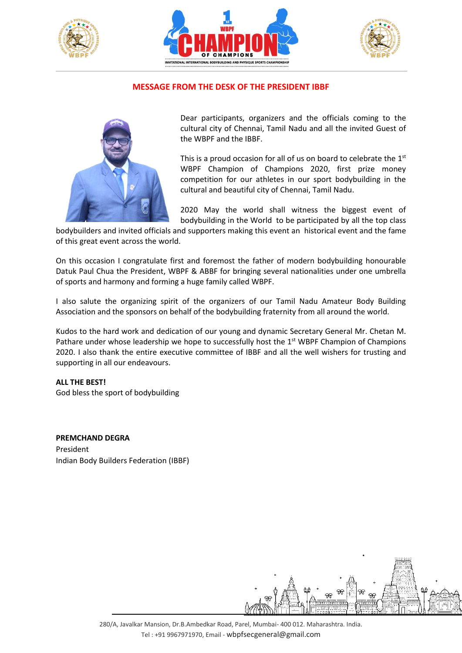





## **MESSAGE FROM THE DESK OF THE PRESIDENT IBBF**



Dear participants, organizers and the officials coming to the cultural city of Chennai, Tamil Nadu and all the invited Guest of the WBPF and the IBBF.

This is a proud occasion for all of us on board to celebrate the  $1<sup>st</sup>$ WBPF Champion of Champions 2020, first prize money competition for our athletes in our sport bodybuilding in the cultural and beautiful city of Chennai, Tamil Nadu.

2020 May the world shall witness the biggest event of bodybuilding in the World to be participated by all the top class

bodybuilders and invited officials and supporters making this event an historical event and the fame of this great event across the world.

On this occasion I congratulate first and foremost the father of modern bodybuilding honourable Datuk Paul Chua the President, WBPF & ABBF for bringing several nationalities under one umbrella of sports and harmony and forming a huge family called WBPF.

I also salute the organizing spirit of the organizers of our Tamil Nadu Amateur Body Building Association and the sponsors on behalf of the bodybuilding fraternity from all around the world.

Kudos to the hard work and dedication of our young and dynamic Secretary General Mr. Chetan M. Pathare under whose leadership we hope to successfully host the 1<sup>st</sup> WBPF Champion of Champions 2020. I also thank the entire executive committee of IBBF and all the well wishers for trusting and supporting in all our endeavours.

#### **ALL THE BEST!**

God bless the sport of bodybuilding

**PREMCHAND DEGRA** President Indian Body Builders Federation (IBBF)

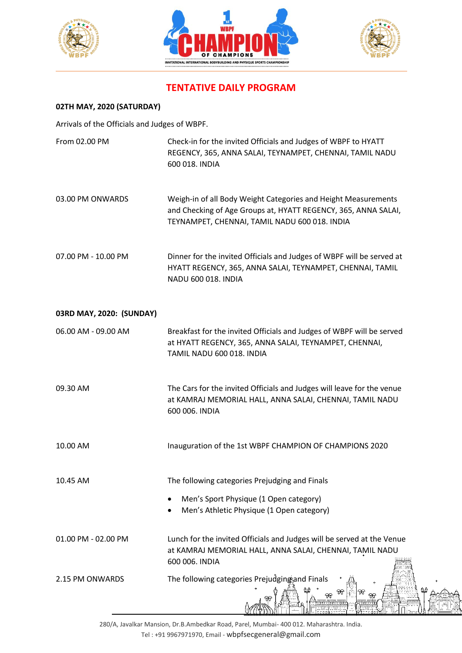





## **TENTATIVE DAILY PROGRAM**

## **02TH MAY, 2020 (SATURDAY)**

Arrivals of the Officials and Judges of WBPF.

| From 02.00 PM            | Check-in for the invited Officials and Judges of WBPF to HYATT<br>REGENCY, 365, ANNA SALAI, TEYNAMPET, CHENNAI, TAMIL NADU<br>600 018. INDIA                                      |
|--------------------------|-----------------------------------------------------------------------------------------------------------------------------------------------------------------------------------|
| 03.00 PM ONWARDS         | Weigh-in of all Body Weight Categories and Height Measurements<br>and Checking of Age Groups at, HYATT REGENCY, 365, ANNA SALAI,<br>TEYNAMPET, CHENNAI, TAMIL NADU 600 018. INDIA |
| 07.00 PM - 10.00 PM      | Dinner for the invited Officials and Judges of WBPF will be served at<br>HYATT REGENCY, 365, ANNA SALAI, TEYNAMPET, CHENNAI, TAMIL<br>NADU 600 018. INDIA                         |
| 03RD MAY, 2020: (SUNDAY) |                                                                                                                                                                                   |
| 06.00 AM - 09.00 AM      | Breakfast for the invited Officials and Judges of WBPF will be served<br>at HYATT REGENCY, 365, ANNA SALAI, TEYNAMPET, CHENNAI,<br>TAMIL NADU 600 018. INDIA                      |
| 09.30 AM                 | The Cars for the invited Officials and Judges will leave for the venue<br>at KAMRAJ MEMORIAL HALL, ANNA SALAI, CHENNAI, TAMIL NADU<br>600 006. INDIA                              |
| 10.00 AM                 | Inauguration of the 1st WBPF CHAMPION OF CHAMPIONS 2020                                                                                                                           |
| 10.45 AM                 | The following categories Prejudging and Finals                                                                                                                                    |
|                          | Men's Sport Physique (1 Open category)<br>Men's Athletic Physique (1 Open category)                                                                                               |
| 01.00 PM - 02.00 PM      | Lunch for the invited Officials and Judges will be served at the Venue<br>at KAMRAJ MEMORIAL HALL, ANNA SALAI, CHENNAI, TAMIL NADU<br>600 006. INDIA                              |
| 2.15 PM ONWARDS          | The following categories Prejudging and Finals<br>₩                                                                                                                               |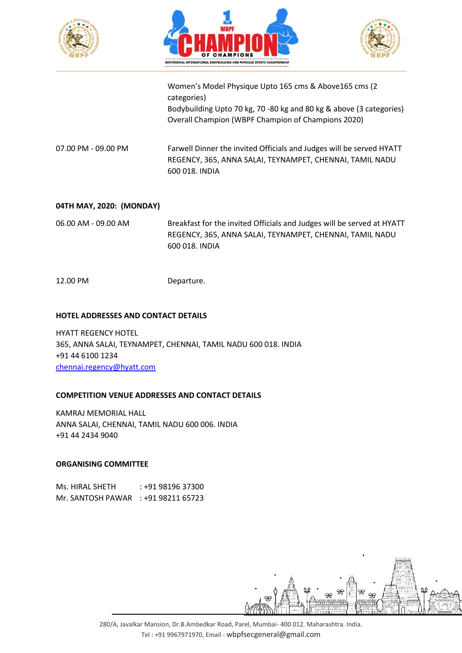





Women's Model Physique Upto 165 cms & Above165 cms (2 categories) Bodybuilding Upto 70 kg, 70 -80 kg and 80 kg & above (3 categories) Overall Champion (WBPF Champion of Champions 2020) 07.00 PM - 09.00 PM Farwell Dinner the invited Officials and Judges will be served HYATT REGENCY, 365, ANNA SALAI, TEYNAMPET, CHENNAI, TAMIL NADU 600 018. INDIA

## **04TH MAY, 2020: (MONDAY)**

06.00 AM - 09.00 AM Breakfast for the invited Officials and Judges will be served at HYATT REGENCY, 365, ANNA SALAI, TEYNAMPET, CHENNAI, TAMIL NADU 600 018. INDIA

12.00 PM Departure.

#### **HOTEL ADDRESSES AND CONTACT DETAILS**

HYATT REGENCY HOTEL 365, ANNA SALAI, TEYNAMPET, CHENNAI, TAMIL NADU 600 018. INDIA +91 44 6100 1234 [chennai.regency@hyatt.com](mailto:chennai.regency@hyatt.com)

## **COMPETITION VENUE ADDRESSES AND CONTACT DETAILS**

KAMRAJ MEMORIAL HALL ANNA SALAI, CHENNAI, TAMIL NADU 600 006. INDIA +91 44 2434 9040

#### **ORGANISING COMMITTEE**

| Ms. HIRAL SHETH   | : +91 98196 37300 |
|-------------------|-------------------|
| Mr. SANTOSH PAWAR | : +91 98211 65723 |

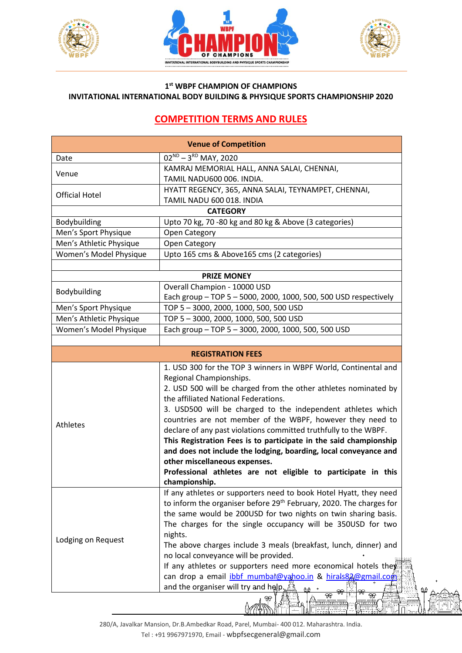





## **1 st WBPF CHAMPION OF CHAMPIONS INVITATIONAL INTERNATIONAL BODY BUILDING & PHYSIQUE SPORTS CHAMPIONSHIP 2020**

## **COMPETITION TERMS AND RULES**

| <b>Venue of Competition</b>                                                                                                                                                                                                                                                                                                                                                                                                                                                                                                                                                                                       |                                                                                                                                                                                                                                                                                                                                                                                                                                                                                                                                                                                                                                                                    |  |  |  |
|-------------------------------------------------------------------------------------------------------------------------------------------------------------------------------------------------------------------------------------------------------------------------------------------------------------------------------------------------------------------------------------------------------------------------------------------------------------------------------------------------------------------------------------------------------------------------------------------------------------------|--------------------------------------------------------------------------------------------------------------------------------------------------------------------------------------------------------------------------------------------------------------------------------------------------------------------------------------------------------------------------------------------------------------------------------------------------------------------------------------------------------------------------------------------------------------------------------------------------------------------------------------------------------------------|--|--|--|
| Date                                                                                                                                                                                                                                                                                                                                                                                                                                                                                                                                                                                                              | $02^{ND} - 3^{RD}$ MAY, 2020                                                                                                                                                                                                                                                                                                                                                                                                                                                                                                                                                                                                                                       |  |  |  |
| Venue                                                                                                                                                                                                                                                                                                                                                                                                                                                                                                                                                                                                             | KAMRAJ MEMORIAL HALL, ANNA SALAI, CHENNAI,                                                                                                                                                                                                                                                                                                                                                                                                                                                                                                                                                                                                                         |  |  |  |
|                                                                                                                                                                                                                                                                                                                                                                                                                                                                                                                                                                                                                   | TAMIL NADU600 006. INDIA.                                                                                                                                                                                                                                                                                                                                                                                                                                                                                                                                                                                                                                          |  |  |  |
| <b>Official Hotel</b>                                                                                                                                                                                                                                                                                                                                                                                                                                                                                                                                                                                             | HYATT REGENCY, 365, ANNA SALAI, TEYNAMPET, CHENNAI,                                                                                                                                                                                                                                                                                                                                                                                                                                                                                                                                                                                                                |  |  |  |
|                                                                                                                                                                                                                                                                                                                                                                                                                                                                                                                                                                                                                   | TAMIL NADU 600 018. INDIA                                                                                                                                                                                                                                                                                                                                                                                                                                                                                                                                                                                                                                          |  |  |  |
|                                                                                                                                                                                                                                                                                                                                                                                                                                                                                                                                                                                                                   | <b>CATEGORY</b>                                                                                                                                                                                                                                                                                                                                                                                                                                                                                                                                                                                                                                                    |  |  |  |
| Bodybuilding                                                                                                                                                                                                                                                                                                                                                                                                                                                                                                                                                                                                      | Upto 70 kg, 70 -80 kg and 80 kg & Above (3 categories)                                                                                                                                                                                                                                                                                                                                                                                                                                                                                                                                                                                                             |  |  |  |
| Men's Sport Physique                                                                                                                                                                                                                                                                                                                                                                                                                                                                                                                                                                                              | Open Category                                                                                                                                                                                                                                                                                                                                                                                                                                                                                                                                                                                                                                                      |  |  |  |
| Men's Athletic Physique                                                                                                                                                                                                                                                                                                                                                                                                                                                                                                                                                                                           | Open Category                                                                                                                                                                                                                                                                                                                                                                                                                                                                                                                                                                                                                                                      |  |  |  |
| Women's Model Physique                                                                                                                                                                                                                                                                                                                                                                                                                                                                                                                                                                                            | Upto 165 cms & Above165 cms (2 categories)                                                                                                                                                                                                                                                                                                                                                                                                                                                                                                                                                                                                                         |  |  |  |
|                                                                                                                                                                                                                                                                                                                                                                                                                                                                                                                                                                                                                   |                                                                                                                                                                                                                                                                                                                                                                                                                                                                                                                                                                                                                                                                    |  |  |  |
|                                                                                                                                                                                                                                                                                                                                                                                                                                                                                                                                                                                                                   | <b>PRIZE MONEY</b>                                                                                                                                                                                                                                                                                                                                                                                                                                                                                                                                                                                                                                                 |  |  |  |
| Bodybuilding                                                                                                                                                                                                                                                                                                                                                                                                                                                                                                                                                                                                      | Overall Champion - 10000 USD                                                                                                                                                                                                                                                                                                                                                                                                                                                                                                                                                                                                                                       |  |  |  |
|                                                                                                                                                                                                                                                                                                                                                                                                                                                                                                                                                                                                                   | Each group - TOP 5 - 5000, 2000, 1000, 500, 500 USD respectively                                                                                                                                                                                                                                                                                                                                                                                                                                                                                                                                                                                                   |  |  |  |
| Men's Sport Physique                                                                                                                                                                                                                                                                                                                                                                                                                                                                                                                                                                                              | TOP 5-3000, 2000, 1000, 500, 500 USD                                                                                                                                                                                                                                                                                                                                                                                                                                                                                                                                                                                                                               |  |  |  |
| Men's Athletic Physique                                                                                                                                                                                                                                                                                                                                                                                                                                                                                                                                                                                           | TOP 5-3000, 2000, 1000, 500, 500 USD                                                                                                                                                                                                                                                                                                                                                                                                                                                                                                                                                                                                                               |  |  |  |
| Women's Model Physique                                                                                                                                                                                                                                                                                                                                                                                                                                                                                                                                                                                            | Each group - TOP 5 - 3000, 2000, 1000, 500, 500 USD                                                                                                                                                                                                                                                                                                                                                                                                                                                                                                                                                                                                                |  |  |  |
|                                                                                                                                                                                                                                                                                                                                                                                                                                                                                                                                                                                                                   |                                                                                                                                                                                                                                                                                                                                                                                                                                                                                                                                                                                                                                                                    |  |  |  |
|                                                                                                                                                                                                                                                                                                                                                                                                                                                                                                                                                                                                                   | <b>REGISTRATION FEES</b>                                                                                                                                                                                                                                                                                                                                                                                                                                                                                                                                                                                                                                           |  |  |  |
| Athletes                                                                                                                                                                                                                                                                                                                                                                                                                                                                                                                                                                                                          | 1. USD 300 for the TOP 3 winners in WBPF World, Continental and<br>Regional Championships.<br>2. USD 500 will be charged from the other athletes nominated by<br>the affiliated National Federations.<br>3. USD500 will be charged to the independent athletes which<br>countries are not member of the WBPF, however they need to<br>declare of any past violations committed truthfully to the WBPF.<br>This Registration Fees is to participate in the said championship<br>and does not include the lodging, boarding, local conveyance and<br>other miscellaneous expenses.<br>Professional athletes are not eligible to participate in this<br>championship. |  |  |  |
| If any athletes or supporters need to book Hotel Hyatt, they need<br>to inform the organiser before 29 <sup>th</sup> February, 2020. The charges for<br>the same would be 200USD for two nights on twin sharing basis.<br>The charges for the single occupancy will be 350USD for two<br>nights.<br>Lodging on Request<br>The above charges include 3 meals (breakfast, lunch, dinner) and<br>no local conveyance will be provided.<br>If any athletes or supporters need more economical hotels they<br>can drop a email jbbf mumbat@yahoo.in & hirals82@gmail.com<br>and the organiser will try and help.<br>96 |                                                                                                                                                                                                                                                                                                                                                                                                                                                                                                                                                                                                                                                                    |  |  |  |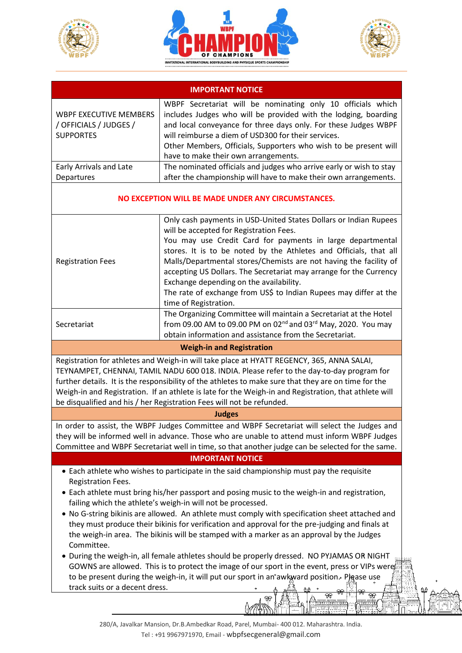





| <b>IMPORTANT NOTICE</b>                                              |                                                                                                                                                                                                                                                                                                                                                                      |  |  |  |  |
|----------------------------------------------------------------------|----------------------------------------------------------------------------------------------------------------------------------------------------------------------------------------------------------------------------------------------------------------------------------------------------------------------------------------------------------------------|--|--|--|--|
| WBPF EXECUTIVE MEMBERS<br>/ OFFICIALS / JUDGES /<br><b>SUPPORTES</b> | WBPF Secretariat will be nominating only 10 officials which<br>includes Judges who will be provided with the lodging, boarding<br>and local conveyance for three days only. For these Judges WBPF<br>will reimburse a diem of USD300 for their services.<br>Other Members, Officials, Supporters who wish to be present will<br>have to make their own arrangements. |  |  |  |  |
| Early Arrivals and Late<br>Departures                                | The nominated officials and judges who arrive early or wish to stay<br>after the championship will have to make their own arrangements.                                                                                                                                                                                                                              |  |  |  |  |
|                                                                      |                                                                                                                                                                                                                                                                                                                                                                      |  |  |  |  |

## **NO EXCEPTION WILL BE MADE UNDER ANY CIRCUMSTANCES.**

| <b>Registration Fees</b> | Only cash payments in USD-United States Dollars or Indian Rupees<br>will be accepted for Registration Fees.<br>You may use Credit Card for payments in large departmental<br>stores. It is to be noted by the Athletes and Officials, that all<br>Malls/Departmental stores/Chemists are not having the facility of<br>accepting US Dollars. The Secretariat may arrange for the Currency<br>Exchange depending on the availability.<br>The rate of exchange from US\$ to Indian Rupees may differ at the<br>time of Registration. |
|--------------------------|------------------------------------------------------------------------------------------------------------------------------------------------------------------------------------------------------------------------------------------------------------------------------------------------------------------------------------------------------------------------------------------------------------------------------------------------------------------------------------------------------------------------------------|
| Secretariat              | The Organizing Committee will maintain a Secretariat at the Hotel<br>from 09.00 AM to 09.00 PM on 02 $^{nd}$ and 03 $^{rd}$ May, 2020. You may<br>obtain information and assistance from the Secretariat.                                                                                                                                                                                                                                                                                                                          |

#### **Weigh-in and Registration**

Registration for athletes and Weigh-in will take place at HYATT REGENCY, 365, ANNA SALAI, TEYNAMPET, CHENNAI, TAMIL NADU 600 018. INDIA. Please refer to the day-to-day program for further details. It is the responsibility of the athletes to make sure that they are on time for the Weigh-in and Registration. If an athlete is late for the Weigh-in and Registration, that athlete will be disqualified and his / her Registration Fees will not be refunded.

#### **Judges**

In order to assist, the WBPF Judges Committee and WBPF Secretariat will select the Judges and they will be informed well in advance. Those who are unable to attend must inform WBPF Judges Committee and WBPF Secretariat well in time, so that another judge can be selected for the same.

## **IMPORTANT NOTICE**

- Each athlete who wishes to participate in the said championship must pay the requisite Registration Fees.
- Each athlete must bring his/her passport and posing music to the weigh-in and registration, failing which the athlete's weigh-in will not be processed.
- No G-string bikinis are allowed. An athlete must comply with specification sheet attached and they must produce their bikinis for verification and approval for the pre-judging and finals at the weigh-in area. The bikinis will be stamped with a marker as an approval by the Judges Committee.
- During the weigh-in, all female athletes should be properly dressed. NO PYJAMAS OR NIGHT GOWNS are allowed. This is to protect the image of our sport in the event, press or VIPs were to be present during the weigh-in, it will put our sport in an awkward position. Please use track suits or a decent dress.

₩

ऋ

ऋ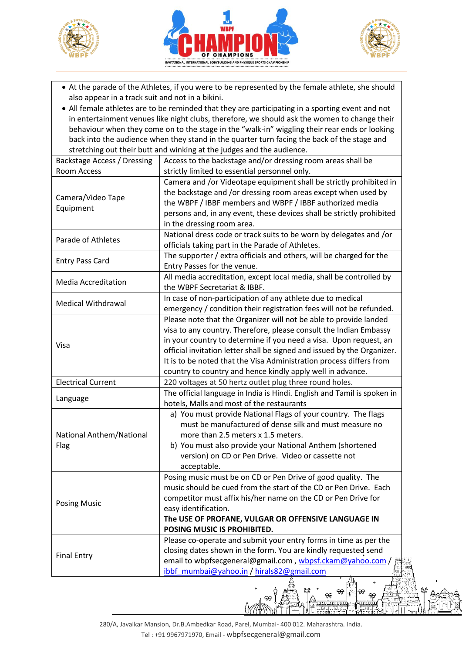





- At the parade of the Athletes, if you were to be represented by the female athlete, she should also appear in a track suit and not in a bikini.
- All female athletes are to be reminded that they are participating in a sporting event and not in entertainment venues like night clubs, therefore, we should ask the women to change their behaviour when they come on to the stage in the "walk-in" wiggling their rear ends or looking back into the audience when they stand in the quarter turn facing the back of the stage and stretching out their butt and winking at the judges and the audience.

| Backstage Access / Dressing                                                                                                                                                                                                                                       | Access to the backstage and/or dressing room areas shall be                                                                                                                                                                                                                                                                                                                                                                 |  |
|-------------------------------------------------------------------------------------------------------------------------------------------------------------------------------------------------------------------------------------------------------------------|-----------------------------------------------------------------------------------------------------------------------------------------------------------------------------------------------------------------------------------------------------------------------------------------------------------------------------------------------------------------------------------------------------------------------------|--|
| <b>Room Access</b>                                                                                                                                                                                                                                                | strictly limited to essential personnel only.                                                                                                                                                                                                                                                                                                                                                                               |  |
| Camera/Video Tape<br>Equipment                                                                                                                                                                                                                                    | Camera and /or Videotape equipment shall be strictly prohibited in<br>the backstage and /or dressing room areas except when used by<br>the WBPF / IBBF members and WBPF / IBBF authorized media<br>persons and, in any event, these devices shall be strictly prohibited<br>in the dressing room area.                                                                                                                      |  |
| <b>Parade of Athletes</b>                                                                                                                                                                                                                                         | National dress code or track suits to be worn by delegates and /or<br>officials taking part in the Parade of Athletes.                                                                                                                                                                                                                                                                                                      |  |
| <b>Entry Pass Card</b>                                                                                                                                                                                                                                            | The supporter / extra officials and others, will be charged for the<br>Entry Passes for the venue.                                                                                                                                                                                                                                                                                                                          |  |
| <b>Media Accreditation</b>                                                                                                                                                                                                                                        | All media accreditation, except local media, shall be controlled by<br>the WBPF Secretariat & IBBF.                                                                                                                                                                                                                                                                                                                         |  |
| <b>Medical Withdrawal</b>                                                                                                                                                                                                                                         | In case of non-participation of any athlete due to medical<br>emergency / condition their registration fees will not be refunded.                                                                                                                                                                                                                                                                                           |  |
| Visa                                                                                                                                                                                                                                                              | Please note that the Organizer will not be able to provide landed<br>visa to any country. Therefore, please consult the Indian Embassy<br>in your country to determine if you need a visa. Upon request, an<br>official invitation letter shall be signed and issued by the Organizer.<br>It is to be noted that the Visa Administration process differs from<br>country to country and hence kindly apply well in advance. |  |
| <b>Electrical Current</b>                                                                                                                                                                                                                                         | 220 voltages at 50 hertz outlet plug three round holes.                                                                                                                                                                                                                                                                                                                                                                     |  |
| Language                                                                                                                                                                                                                                                          | The official language in India is Hindi. English and Tamil is spoken in<br>hotels, Malls and most of the restaurants                                                                                                                                                                                                                                                                                                        |  |
| National Anthem/National<br>Flag                                                                                                                                                                                                                                  | a) You must provide National Flags of your country. The flags<br>must be manufactured of dense silk and must measure no<br>more than 2.5 meters x 1.5 meters.<br>b) You must also provide your National Anthem (shortened<br>version) on CD or Pen Drive. Video or cassette not<br>acceptable.                                                                                                                              |  |
| <b>Posing Music</b>                                                                                                                                                                                                                                               | Posing music must be on CD or Pen Drive of good quality. The<br>music should be cued from the start of the CD or Pen Drive. Each<br>competitor must affix his/her name on the CD or Pen Drive for<br>easy identification.<br>The USE OF PROFANE, VULGAR OR OFFENSIVE LANGUAGE IN<br>POSING MUSIC IS PROHIBITED.                                                                                                             |  |
| Please co-operate and submit your entry forms in time as per the<br>closing dates shown in the form. You are kindly requested send<br><b>Final Entry</b><br>email to wbpfsecgeneral@gmail.com, wbpsf.ckam@yahoo.com/<br>ibbf mumbai@yahoo.in / hirals82@gmail.com |                                                                                                                                                                                                                                                                                                                                                                                                                             |  |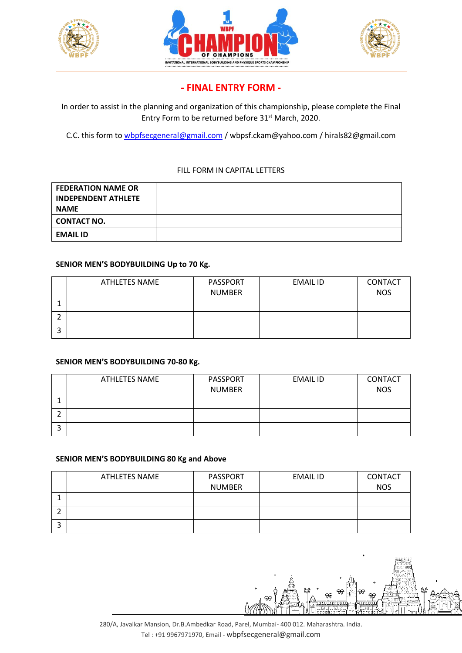





## **- FINAL ENTRY FORM -**

In order to assist in the planning and organization of this championship, please complete the Final Entry Form to be returned before 31<sup>st</sup> March, 2020.

C.C. this form to [wbpfsecgeneral@gmail.com](mailto:wbpfsecgeneral@gmail.com) / wbpsf.ckam@yahoo.com / hirals82@gmail.com

## FILL FORM IN CAPITAL LETTERS

| <b>FEDERATION NAME OR</b>  |  |
|----------------------------|--|
| <b>INDEPENDENT ATHLETE</b> |  |
| <b>NAME</b>                |  |
| <b>CONTACT NO.</b>         |  |
| <b>EMAIL ID</b>            |  |

#### **SENIOR MEN'S BODYBUILDING Up to 70 Kg.**

|   | ATHLETES NAME | PASSPORT      | <b>EMAIL ID</b> | CONTACT    |
|---|---------------|---------------|-----------------|------------|
|   |               | <b>NUMBER</b> |                 | <b>NOS</b> |
|   |               |               |                 |            |
|   |               |               |                 |            |
| ۰ |               |               |                 |            |

#### **SENIOR MEN'S BODYBUILDING 70-80 Kg.**

| ATHLETES NAME | PASSPORT<br><b>NUMBER</b> | <b>EMAIL ID</b> | CONTACT<br><b>NOS</b> |
|---------------|---------------------------|-----------------|-----------------------|
|               |                           |                 |                       |
|               |                           |                 |                       |
|               |                           |                 |                       |

## **SENIOR MEN'S BODYBUILDING 80 Kg and Above**

| ATHLETES NAME | PASSPORT      | <b>EMAIL ID</b> | CONTACT    |
|---------------|---------------|-----------------|------------|
|               | <b>NUMBER</b> |                 | <b>NOS</b> |
|               |               |                 |            |
|               |               |                 |            |
|               |               |                 |            |

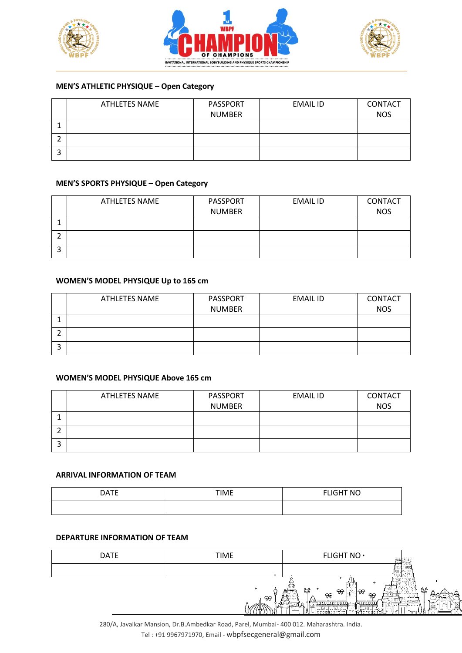





## **MEN'S ATHLETIC PHYSIQUE – Open Category**

|   | ATHLETES NAME | PASSPORT<br><b>NUMBER</b> | <b>EMAIL ID</b> | CONTACT<br><b>NOS</b> |
|---|---------------|---------------------------|-----------------|-----------------------|
|   |               |                           |                 |                       |
|   |               |                           |                 |                       |
| د |               |                           |                 |                       |

## **MEN'S SPORTS PHYSIQUE – Open Category**

|   | ATHLETES NAME | PASSPORT      | <b>EMAIL ID</b> | CONTACT    |
|---|---------------|---------------|-----------------|------------|
|   |               | <b>NUMBER</b> |                 | <b>NOS</b> |
|   |               |               |                 |            |
|   |               |               |                 |            |
| د |               |               |                 |            |

#### **WOMEN'S MODEL PHYSIQUE Up to 165 cm**

| ATHLETES NAME | PASSPORT      | <b>EMAIL ID</b> | CONTACT    |
|---------------|---------------|-----------------|------------|
|               | <b>NUMBER</b> |                 | <b>NOS</b> |
|               |               |                 |            |
|               |               |                 |            |
|               |               |                 |            |

## **WOMEN'S MODEL PHYSIQUE Above 165 cm**

|   | ATHLETES NAME | PASSPORT      | <b>EMAIL ID</b> | CONTACT    |
|---|---------------|---------------|-----------------|------------|
|   |               | <b>NUMBER</b> |                 | <b>NOS</b> |
|   |               |               |                 |            |
|   |               |               |                 |            |
| J |               |               |                 |            |

#### **ARRIVAL INFORMATION OF TEAM**

| <b>DATE</b><br>- - - - - | <b>TIME</b> | <b>FLIGHT NO</b> |
|--------------------------|-------------|------------------|
|                          |             |                  |

#### **DEPARTURE INFORMATION OF TEAM**

| DATE | <b>TIME</b> | <b>FLIGHT NO ·</b>                                                                          | 1464,8241<br>Tool Neel                                                                   |
|------|-------------|---------------------------------------------------------------------------------------------|------------------------------------------------------------------------------------------|
|      |             |                                                                                             | a sean<br>Claisia<br>.                                                                   |
|      | €           | ûв<br>₩<br>₩                                                                                | a alam boa ay<br>ЭĎ.<br>O.f<br><b>INCORP</b><br>Jee gelee s                              |
|      | ₩           | $\pi$<br>₩<br>歴史には<br><b>Control Security Control</b><br><u> 1999 - Jan</u><br>ktore en art | Ë∰.<br>jaseči<br><br>أسحجافا<br>. कि<br><b>The Control</b><br>انش<br>يقزا<br>uel.<br>llë |